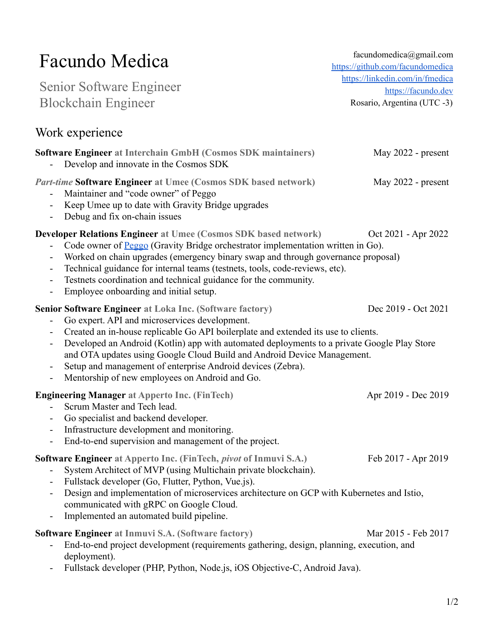# Facundo Medica

Senior Software Engineer Blockchain Engineer

facundomedica@gmail.com <https://github.com/facundomedica> [https://linkedin.com/in/fmedica](https://www.linkedin.com/in/fmedica/) <https://facundo.dev> Rosario, Argentina (UTC -3)

### Work experience

| <b>Software Engineer at Interchain GmbH (Cosmos SDK maintainers)</b><br>- Develop and innovate in the Cosmos SDK | May $2022$ - present |
|------------------------------------------------------------------------------------------------------------------|----------------------|
| <i>Part-time</i> Software Engineer at Umee (Cosmos SDK based network)                                            | May $2022$ - present |
| - Maintainer and "code owner" of Peggo                                                                           |                      |
| - Keep Umee up to date with Gravity Bridge upgrades                                                              |                      |

- Debug and fix on-chain issues

#### **Developer Relations Engineer at Umee (Cosmos SDK based network)** Oct 2021 - Apr 2022

- Code owner of [Peggo](https://github.com/umee-network/peggo) (Gravity Bridge orchestrator implementation written in Go).
- Worked on chain upgrades (emergency binary swap and through governance proposal)
- Technical guidance for internal teams (testnets, tools, code-reviews, etc).
- Testnets coordination and technical guidance for the community.
- Employee onboarding and initial setup.

#### **Senior Software Engineer at Loka Inc. (Software factory)** Dec 2019 - Oct 2021

- Go expert. API and microservices development.
- Created an in-house replicable Go API boilerplate and extended its use to clients.
- Developed an Android (Kotlin) app with automated deployments to a private Google Play Store and OTA updates using Google Cloud Build and Android Device Management.
- Setup and management of enterprise Android devices (Zebra).
- Mentorship of new employees on Android and Go.

### **Engineering Manager** at Apperto Inc. (FinTech) Apr 2019 - Dec 2019

- Scrum Master and Tech lead.
- Go specialist and backend developer.
- Infrastructure development and monitoring.
- End-to-end supervision and management of the project.

### **Software Engineer at Apperto Inc. (FinTech,** *pivot* **of Inmuvi S.A.)** Feb 2017 - Apr 2019

- System Architect of MVP (using Multichain private blockchain).
- Fullstack developer (Go, Flutter, Python, Vue.js).
- Design and implementation of microservices architecture on GCP with Kubernetes and Istio, communicated with gRPC on Google Cloud.
- Implemented an automated build pipeline.

### **Software Engineer** at Inmuvi S.A. (Software factory) Mar 2015 - Feb 2017

- End-to-end project development (requirements gathering, design, planning, execution, and deployment).
- Fullstack developer (PHP, Python, Node.js, iOS Objective-C, Android Java).